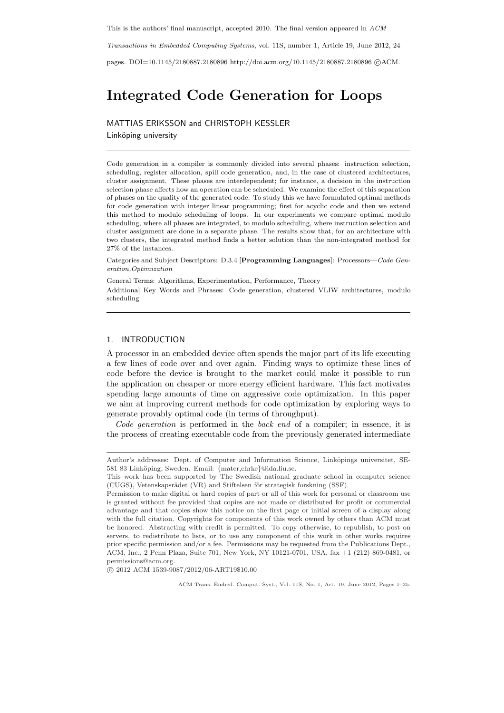This is the authors' final manuscript, accepted 2010. The final version appeared in ACM

Transactions in Embedded Computing Systems, vol. 11S, number 1, Article 19, June 2012, 24

pages. DOI=10.1145/2180887.2180896 http://doi.acm.org/10.1145/2180887.2180896 ©ACM.

# Integrated Code Generation for Loops

MATTIAS ERIKSSON and CHRISTOPH KESSLER Linköping university

Code generation in a compiler is commonly divided into several phases: instruction selection, scheduling, register allocation, spill code generation, and, in the case of clustered architectures, cluster assignment. These phases are interdependent; for instance, a decision in the instruction selection phase affects how an operation can be scheduled. We examine the effect of this separation of phases on the quality of the generated code. To study this we have formulated optimal methods for code generation with integer linear programming; first for acyclic code and then we extend this method to modulo scheduling of loops. In our experiments we compare optimal modulo scheduling, where all phases are integrated, to modulo scheduling, where instruction selection and cluster assignment are done in a separate phase. The results show that, for an architecture with two clusters, the integrated method finds a better solution than the non-integrated method for 27% of the instances.

Categories and Subject Descriptors: D.3.4 [Programming Languages]: Processors—Code Generation,Optimization

General Terms: Algorithms, Experimentation, Performance, Theory Additional Key Words and Phrases: Code generation, clustered VLIW architectures, modulo scheduling

# 1. INTRODUCTION

A processor in an embedded device often spends the major part of its life executing a few lines of code over and over again. Finding ways to optimize these lines of code before the device is brought to the market could make it possible to run the application on cheaper or more energy efficient hardware. This fact motivates spending large amounts of time on aggressive code optimization. In this paper we aim at improving current methods for code optimization by exploring ways to generate provably optimal code (in terms of throughput).

Code generation is performed in the back end of a compiler; in essence, it is the process of creating executable code from the previously generated intermediate

°c 2012 ACM 1539-9087/2012/06-ART19\$10.00

Author's addresses: Dept. of Computer and Information Science, Linköpings universitet, SE-581 83 Linköping, Sweden. Email: {mater,chrke}@ida.liu.se.

This work has been supported by The Swedish national graduate school in computer science (CUGS), Vetenskapsrådet (VR) and Stiftelsen för strategisk forskning (SSF).

Permission to make digital or hard copies of part or all of this work for personal or classroom use is granted without fee provided that copies are not made or distributed for profit or commercial advantage and that copies show this notice on the first page or initial screen of a display along with the full citation. Copyrights for components of this work owned by others than ACM must be honored. Abstracting with credit is permitted. To copy otherwise, to republish, to post on servers, to redistribute to lists, or to use any component of this work in other works requires prior specific permission and/or a fee. Permissions may be requested from the Publications Dept., ACM, Inc., 2 Penn Plaza, Suite 701, New York, NY 10121-0701, USA, fax +1 (212) 869-0481, or permissions@acm.org.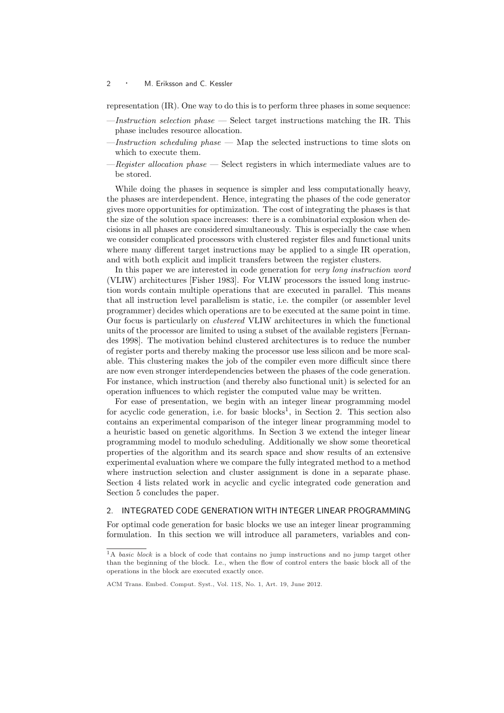representation (IR). One way to do this is to perform three phases in some sequence:

- $-$ *Instruction selection phase*  $-$  Select target instructions matching the IR. This phase includes resource allocation.
- -Instruction scheduling phase  $-$  Map the selected instructions to time slots on which to execute them.
- $-$ Register allocation phase  $-$  Select registers in which intermediate values are to be stored.

While doing the phases in sequence is simpler and less computationally heavy, the phases are interdependent. Hence, integrating the phases of the code generator gives more opportunities for optimization. The cost of integrating the phases is that the size of the solution space increases: there is a combinatorial explosion when decisions in all phases are considered simultaneously. This is especially the case when we consider complicated processors with clustered register files and functional units where many different target instructions may be applied to a single IR operation, and with both explicit and implicit transfers between the register clusters.

In this paper we are interested in code generation for very long instruction word (VLIW) architectures [Fisher 1983]. For VLIW processors the issued long instruction words contain multiple operations that are executed in parallel. This means that all instruction level parallelism is static, i.e. the compiler (or assembler level programmer) decides which operations are to be executed at the same point in time. Our focus is particularly on clustered VLIW architectures in which the functional units of the processor are limited to using a subset of the available registers [Fernandes 1998]. The motivation behind clustered architectures is to reduce the number of register ports and thereby making the processor use less silicon and be more scalable. This clustering makes the job of the compiler even more difficult since there are now even stronger interdependencies between the phases of the code generation. For instance, which instruction (and thereby also functional unit) is selected for an operation influences to which register the computed value may be written.

For ease of presentation, we begin with an integer linear programming model for acyclic code generation, i.e. for basic blocks<sup>1</sup>, in Section 2. This section also contains an experimental comparison of the integer linear programming model to a heuristic based on genetic algorithms. In Section 3 we extend the integer linear programming model to modulo scheduling. Additionally we show some theoretical properties of the algorithm and its search space and show results of an extensive experimental evaluation where we compare the fully integrated method to a method where instruction selection and cluster assignment is done in a separate phase. Section 4 lists related work in acyclic and cyclic integrated code generation and Section 5 concludes the paper.

## 2. INTEGRATED CODE GENERATION WITH INTEGER LINEAR PROGRAMMING

For optimal code generation for basic blocks we use an integer linear programming formulation. In this section we will introduce all parameters, variables and con-

<sup>&</sup>lt;sup>1</sup>A basic block is a block of code that contains no jump instructions and no jump target other than the beginning of the block. I.e., when the flow of control enters the basic block all of the operations in the block are executed exactly once.

ACM Trans. Embed. Comput. Syst., Vol. 11S, No. 1, Art. 19, June 2012.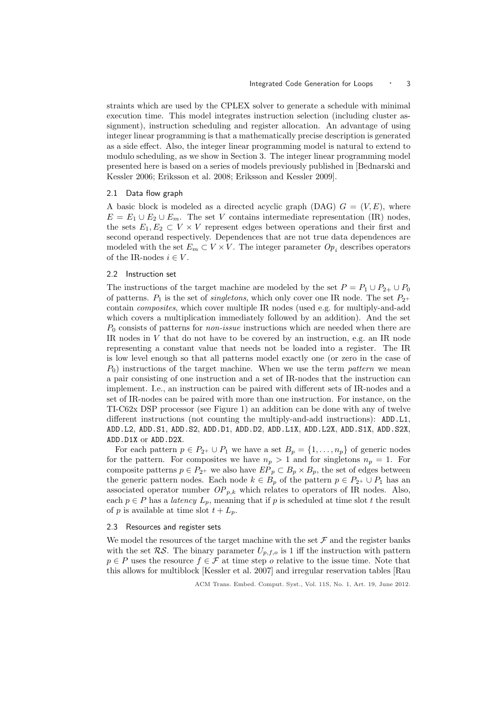straints which are used by the CPLEX solver to generate a schedule with minimal execution time. This model integrates instruction selection (including cluster assignment), instruction scheduling and register allocation. An advantage of using integer linear programming is that a mathematically precise description is generated as a side effect. Also, the integer linear programming model is natural to extend to modulo scheduling, as we show in Section 3. The integer linear programming model presented here is based on a series of models previously published in [Bednarski and Kessler 2006; Eriksson et al. 2008; Eriksson and Kessler 2009].

# 2.1 Data flow graph

A basic block is modeled as a directed acyclic graph (DAG)  $G = (V, E)$ , where  $E = E_1 \cup E_2 \cup E_m$ . The set V contains intermediate representation (IR) nodes, the sets  $E_1, E_2 \subset V \times V$  represent edges between operations and their first and second operand respectively. Dependences that are not true data dependences are modeled with the set  $E_m \subset V \times V$ . The integer parameter  $Op_i$  describes operators of the IR-nodes  $i \in V$ .

# 2.2 Instruction set

The instructions of the target machine are modeled by the set  $P = P_1 \cup P_{2+} \cup P_0$ of patterns.  $P_1$  is the set of *singletons*, which only cover one IR node. The set  $P_{2+}$ contain composites, which cover multiple IR nodes (used e.g. for multiply-and-add which covers a multiplication immediately followed by an addition). And the set  $P_0$  consists of patterns for *non-issue* instructions which are needed when there are IR nodes in  $V$  that do not have to be covered by an instruction, e.g. an IR node representing a constant value that needs not be loaded into a register. The IR is low level enough so that all patterns model exactly one (or zero in the case of  $P_0$ ) instructions of the target machine. When we use the term pattern we mean a pair consisting of one instruction and a set of IR-nodes that the instruction can implement. I.e., an instruction can be paired with different sets of IR-nodes and a set of IR-nodes can be paired with more than one instruction. For instance, on the TI-C62x DSP processor (see Figure 1) an addition can be done with any of twelve different instructions (not counting the multiply-and-add instructions): ADD.L1, ADD.L2, ADD.S1, ADD.S2, ADD.D1, ADD.D2, ADD.L1X, ADD.L2X, ADD.S1X, ADD.S2X, ADD.D1X or ADD.D2X.

For each pattern  $p \in P_{2^+} \cup P_1$  we have a set  $B_p = \{1, \ldots, n_p\}$  of generic nodes for the pattern. For composites we have  $n_p > 1$  and for singletons  $n_p = 1$ . For composite patterns  $p \in P_{2^+}$  we also have  $E_{p} \subset B_p \times B_p$ , the set of edges between the generic pattern nodes. Each node  $k \in B_p$  of the pattern  $p \in P_{2^+} \cup P_1$  has an associated operator number  $OP_{p,k}$  which relates to operators of IR nodes. Also, each  $p \in P$  has a *latency*  $L_p$ , meaning that if p is scheduled at time slot t the result of p is available at time slot  $t + L_p$ .

#### 2.3 Resources and register sets

We model the resources of the target machine with the set  $\mathcal F$  and the register banks with the set  $RS$ . The binary parameter  $U_{p,f,o}$  is 1 iff the instruction with pattern  $p \in P$  uses the resource  $f \in \mathcal{F}$  at time step o relative to the issue time. Note that this allows for multiblock [Kessler et al. 2007] and irregular reservation tables [Rau

ACM Trans. Embed. Comput. Syst., Vol. 11S, No. 1, Art. 19, June 2012.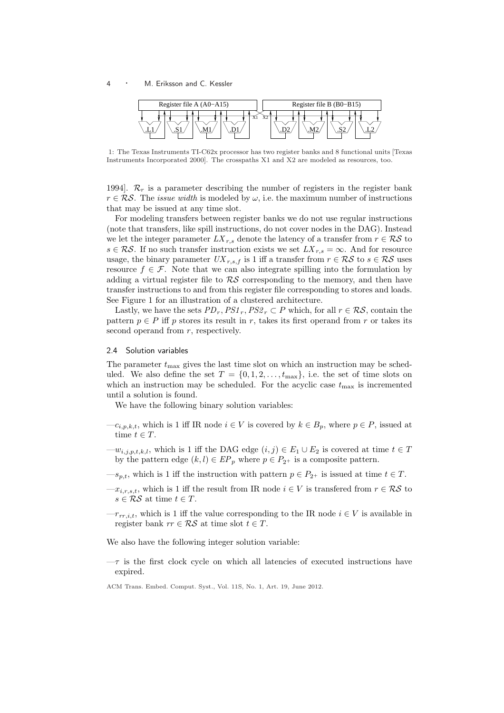

1: The Texas Instruments TI-C62x processor has two register banks and 8 functional units [Texas Instruments Incorporated 2000]. The crosspaths X1 and X2 are modeled as resources, too.

1994].  $\mathcal{R}_r$  is a parameter describing the number of registers in the register bank  $r \in \mathcal{RS}$ . The *issue width* is modeled by  $\omega$ , i.e. the maximum number of instructions that may be issued at any time slot.

For modeling transfers between register banks we do not use regular instructions (note that transfers, like spill instructions, do not cover nodes in the DAG). Instead we let the integer parameter  $LX_{r,s}$  denote the latency of a transfer from  $r \in \mathcal{RS}$  to  $s \in \mathcal{RS}$ . If no such transfer instruction exists we set  $LX_{r,s} = \infty$ . And for resource usage, the binary parameter  $UX_{r,s,f}$  is 1 iff a transfer from  $r \in \mathcal{RS}$  to  $s \in \mathcal{RS}$  uses resource  $f \in \mathcal{F}$ . Note that we can also integrate spilling into the formulation by adding a virtual register file to  $\mathcal{RS}$  corresponding to the memory, and then have transfer instructions to and from this register file corresponding to stores and loads. See Figure 1 for an illustration of a clustered architecture.

Lastly, we have the sets  $PD_r,PS1_r,PS2_r \subset P$  which, for all  $r \in \mathcal{RS}$ , contain the pattern  $p \in P$  iff p stores its result in r, takes its first operand from r or takes its second operand from  $r$ , respectively.

# 2.4 Solution variables

The parameter  $t_{\text{max}}$  gives the last time slot on which an instruction may be scheduled. We also define the set  $T = \{0, 1, 2, \ldots, t_{\text{max}}\},$  i.e. the set of time slots on which an instruction may be scheduled. For the acyclic case  $t_{\text{max}}$  is incremented until a solution is found.

We have the following binary solution variables:

- $-c_{i,p,k,t}$ , which is 1 iff IR node  $i \in V$  is covered by  $k \in B_p$ , where  $p \in P$ , issued at time  $t \in T$ .
- $-w_{i,i,p,t,k,l}$ , which is 1 iff the DAG edge  $(i, j) \in E_1 \cup E_2$  is covered at time  $t \in T$ by the pattern edge  $(k, l) \in EP_p$  where  $p \in P_{2^+}$  is a composite pattern.
- $-s_{p,t}$ , which is 1 iff the instruction with pattern  $p \in P_{2^+}$  is issued at time  $t \in T$ .
- $-x_{i,r,s,t}$ , which is 1 iff the result from IR node  $i \in V$  is transfered from  $r \in \mathcal{RS}$  to  $s \in \mathcal{RS}$  at time  $t \in T$ .
- $-r_{rr,i,t}$ , which is 1 iff the value corresponding to the IR node  $i \in V$  is available in register bank  $rr \in \mathcal{RS}$  at time slot  $t \in T$ .

We also have the following integer solution variable:

 $-\tau$  is the first clock cycle on which all latencies of executed instructions have expired.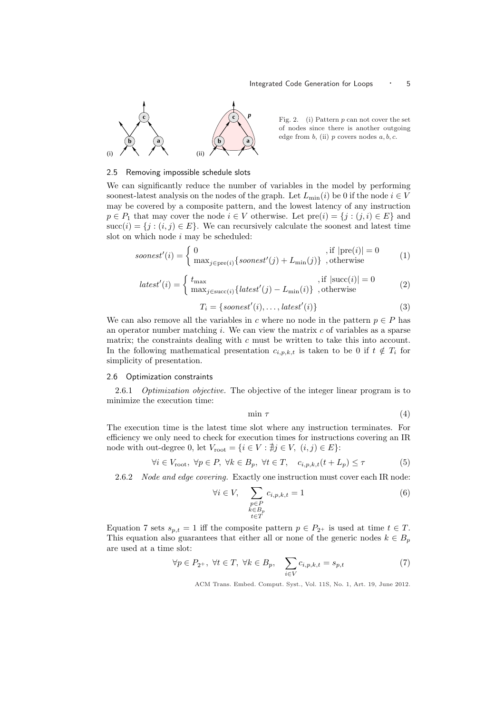

Fig. 2. (i) Pattern p can not cover the set of nodes since there is another outgoing edge from  $b$ , (ii)  $p$  covers nodes  $a, b, c$ .

## 2.5 Removing impossible schedule slots

We can significantly reduce the number of variables in the model by performing soonest-latest analysis on the nodes of the graph. Let  $L_{\text{min}}(i)$  be 0 if the node  $i \in V$ may be covered by a composite pattern, and the lowest latency of any instruction  $p \in P_1$  that may cover the node  $i \in V$  otherwise. Let  $pre(i) = \{j : (j, i) \in E\}$  and succ(i) = {j : (i, j)  $\in E$ }. We can recursively calculate the soonest and latest time slot on which node  $i$  may be scheduled:

$$
soonest'(i) = \begin{cases} 0 & , \text{if } |\text{pre}(i)| = 0\\ \max_{j \in \text{pre}(i)} \{soonest'(j) + L_{\min}(j)\}, \text{otherwise} \end{cases}
$$
(1)

$$
latest'(i) = \begin{cases} t_{\text{max}} & \text{, if } |\text{succ}(i)| = 0\\ \max_{j \in \text{succ}(i)} \{ latest'(j) - L_{\text{min}}(i)\} & \text{, otherwise} \end{cases}
$$
(2)

$$
T_i = \{soonest'(i), \dots, latest'(i)\}\tag{3}
$$

We can also remove all the variables in c where no node in the pattern  $p \in P$  has an operator number matching  $i$ . We can view the matrix  $c$  of variables as a sparse matrix; the constraints dealing with  $c$  must be written to take this into account. In the following mathematical presentation  $c_{i,p,k,t}$  is taken to be 0 if  $t \notin T_i$  for simplicity of presentation.

# 2.6 Optimization constraints

2.6.1 *Optimization objective*. The objective of the integer linear program is to minimize the execution time:

$$
\min \tau \tag{4}
$$

The execution time is the latest time slot where any instruction terminates. For efficiency we only need to check for execution times for instructions covering an IR node with out-degree 0, let  $V_{\text{root}} = \{i \in V : \nexists j \in V, (i, j) \in E\}$ :

$$
\forall i \in V_{\text{root}}, \ \forall p \in P, \ \forall k \in B_p, \ \forall t \in T, \quad c_{i,p,k,t}(t + L_p) \le \tau \tag{5}
$$

2.6.2 Node and edge covering. Exactly one instruction must cover each IR node:

$$
\forall i \in V, \quad \sum_{\substack{p \in P \\ k \in B_p \\ t \in T}} c_{i,p,k,t} = 1 \tag{6}
$$

Equation 7 sets  $s_{p,t} = 1$  iff the composite pattern  $p \in P_{2^+}$  is used at time  $t \in T$ . This equation also guarantees that either all or none of the generic nodes  $k \in B_p$ are used at a time slot:

$$
\forall p \in P_{2^+}, \ \forall t \in T, \ \forall k \in B_p, \quad \sum_{i \in V} c_{i,p,k,t} = s_{p,t} \tag{7}
$$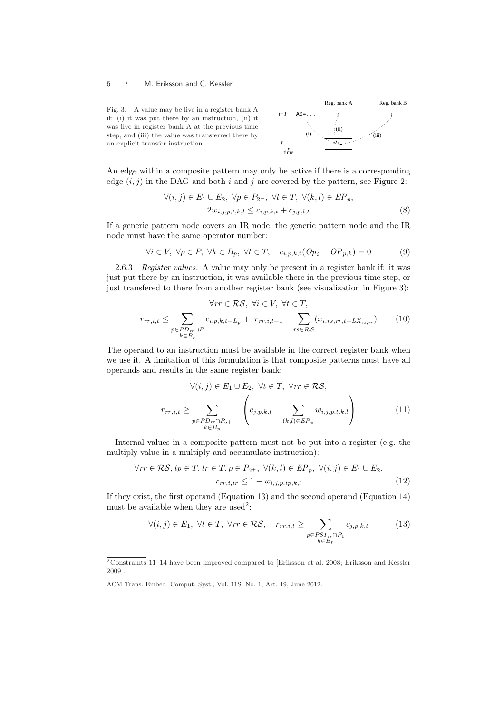Fig. 3. A value may be live in a register bank A if: (i) it was put there by an instruction, (ii) it was live in register bank A at the previous time step, and (iii) the value was transferred there by an explicit transfer instruction.



An edge within a composite pattern may only be active if there is a corresponding edge  $(i, j)$  in the DAG and both i and j are covered by the pattern, see Figure 2:

$$
\forall (i,j) \in E_1 \cup E_2, \ \forall p \in P_{2^+}, \ \forall t \in T, \ \forall (k,l) \in EP_p,
$$
  

$$
2w_{i,j,p,t,k,l} \le c_{i,p,k,t} + c_{j,p,l,t}
$$
 (8)

If a generic pattern node covers an IR node, the generic pattern node and the IR node must have the same operator number:

$$
\forall i \in V, \ \forall p \in P, \ \forall k \in B_p, \ \forall t \in T, \quad c_{i,p,k,t}(Op_i - OP_{p,k}) = 0 \tag{9}
$$

2.6.3 Register values. A value may only be present in a register bank if: it was just put there by an instruction, it was available there in the previous time step, or just transfered to there from another register bank (see visualization in Figure 3):

$$
\forall rr \in \mathcal{RS}, \ \forall i \in V, \ \forall t \in T,
$$
\n
$$
r_{rr,i,t} \leq \sum_{\substack{p \in PD_{rr} \cap P \\ k \in B_p}} c_{i,p,k,t-L_p} + r_{rr,i,t-1} + \sum_{rs \in \mathcal{RS}} (x_{i,rs,rr,t-LX_{rs},r}) \tag{10}
$$

The operand to an instruction must be available in the correct register bank when we use it. A limitation of this formulation is that composite patterns must have all operands and results in the same register bank:

$$
\forall (i,j) \in E_1 \cup E_2, \ \forall t \in T, \ \forall rr \in \mathcal{RS},
$$
\n
$$
r_{rr,i,t} \geq \sum_{\substack{p \in PD_{rr} \cap P_{2+} \\ k \in B_p}} \left( c_{j,p,k,t} - \sum_{(k,l) \in EP_p} w_{i,j,p,t,k,l} \right) \tag{11}
$$

Internal values in a composite pattern must not be put into a register (e.g. the multiply value in a multiply-and-accumulate instruction):

$$
\forall rr \in \mathcal{RS}, tp \in T, tr \in T, p \in P_{2^+}, \ \forall (k, l) \in EP_p, \ \forall (i, j) \in E_1 \cup E_2,
$$

$$
r_{rr,i,tr} \leq 1 - w_{i,j,p,tp,k,l} \tag{12}
$$

If they exist, the first operand (Equation 13) and the second operand (Equation 14) must be available when they are used<sup>2</sup>:

$$
\forall (i,j) \in E_1, \ \forall t \in T, \ \forall rr \in \mathcal{RS}, \quad r_{rr,i,t} \geq \sum_{\substack{p \in PSL_n \cap P_1 \\ k \in B_p}} c_{j,p,k,t} \tag{13}
$$

<sup>&</sup>lt;sup>2</sup>Constraints 11–14 have been improved compared to [Eriksson et al. 2008; Eriksson and Kessler 2009].

ACM Trans. Embed. Comput. Syst., Vol. 11S, No. 1, Art. 19, June 2012.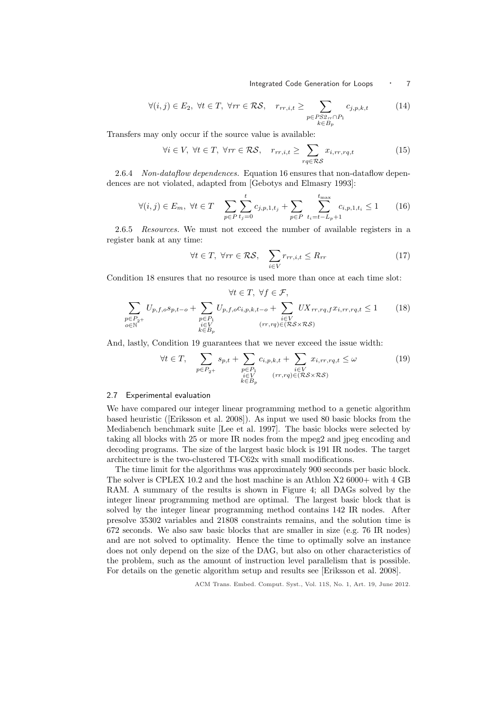Integrated Code Generation for Loops • 7

$$
\forall (i,j) \in E_2, \ \forall t \in T, \ \forall rr \in \mathcal{RS}, \quad r_{rr,i,t} \geq \sum_{\substack{p \in PS2_{rr} \cap P_1 \\ k \in B_p}} c_{j,p,k,t} \tag{14}
$$

Transfers may only occur if the source value is available:

$$
\forall i \in V, \ \forall t \in T, \ \forall rr \in \mathcal{RS}, \quad r_{rr,i,t} \geq \sum_{rq \in \mathcal{RS}} x_{i,rr,rq,t} \tag{15}
$$

2.6.4 Non-dataflow dependences. Equation 16 ensures that non-dataflow dependences are not violated, adapted from [Gebotys and Elmasry 1993]:

$$
\forall (i,j) \in E_m, \ \forall t \in T \quad \sum_{p \in P} \sum_{t_j=0}^t c_{j,p,1,t_j} + \sum_{p \in P} \sum_{t_i=t-L_p+1}^{t_{\text{max}}} c_{i,p,1,t_i} \le 1 \tag{16}
$$

2.6.5 Resources. We must not exceed the number of available registers in a register bank at any time:

$$
\forall t \in T, \ \forall rr \in \mathcal{RS}, \quad \sum_{i \in V} r_{rr,i,t} \le R_{rr}
$$
 (17)

Condition 18 ensures that no resource is used more than once at each time slot:

$$
\forall t \in T, \ \forall f \in \mathcal{F},
$$

$$
\sum_{\substack{p \in P_{2+} \\ o \in \mathbb{N}}} U_{p,f,o} s_{p,t-o} + \sum_{\substack{p \in P_1 \\ i \in V \\ k \in B_p}} U_{p,f,o} c_{i,p,k,t-o} + \sum_{\substack{i \in V \\ (rr,rq) \in (\mathcal{RS} \times \mathcal{RS})}} U X_{rr,rq,f} x_{i,rr,rq,t} \le 1 \tag{18}
$$

And, lastly, Condition 19 guarantees that we never exceed the issue width:

$$
\forall t \in T, \quad \sum_{p \in P_{2^{+}}} s_{p,t} + \sum_{\substack{p \in P_{1} \\ i \in V \\ k \in B_{p}}} c_{i,p,k,t} + \sum_{\substack{i \in V \\ (rr,rq) \in (\mathcal{RS} \times \mathcal{RS})}} x_{i,rr,rq,t} \leq \omega \tag{19}
$$

# 2.7 Experimental evaluation

We have compared our integer linear programming method to a genetic algorithm based heuristic ([Eriksson et al. 2008]). As input we used 80 basic blocks from the Mediabench benchmark suite [Lee et al. 1997]. The basic blocks were selected by taking all blocks with 25 or more IR nodes from the mpeg2 and jpeg encoding and decoding programs. The size of the largest basic block is 191 IR nodes. The target architecture is the two-clustered TI-C62x with small modifications.

The time limit for the algorithms was approximately 900 seconds per basic block. The solver is CPLEX 10.2 and the host machine is an Athlon X2 6000+ with 4 GB RAM. A summary of the results is shown in Figure 4; all DAGs solved by the integer linear programming method are optimal. The largest basic block that is solved by the integer linear programming method contains 142 IR nodes. After presolve 35302 variables and 21808 constraints remains, and the solution time is 672 seconds. We also saw basic blocks that are smaller in size (e.g. 76 IR nodes) and are not solved to optimality. Hence the time to optimally solve an instance does not only depend on the size of the DAG, but also on other characteristics of the problem, such as the amount of instruction level parallelism that is possible. For details on the genetic algorithm setup and results see [Eriksson et al. 2008].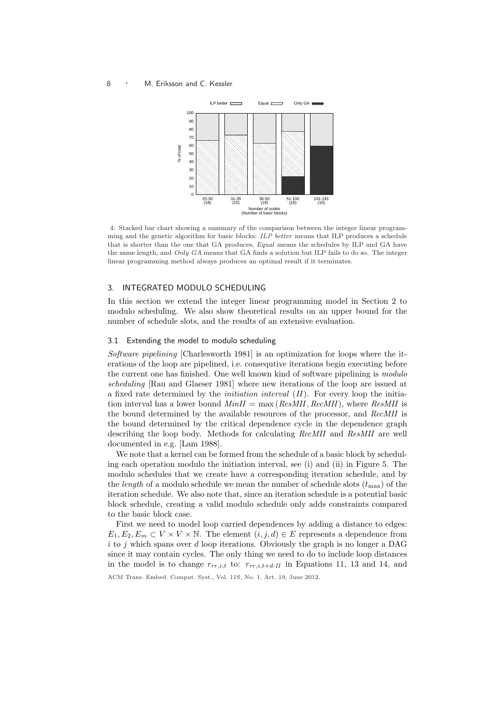

4: Stacked bar chart showing a summary of the comparison between the integer linear programming and the genetic algorithm for basic blocks: ILP better means that ILP produces a schedule that is shorter than the one that GA produces, Equal means the schedules by ILP and GA have the same length, and Only GA means that GA finds a solution but ILP fails to do so. The integer linear programming method always produces an optimal result if it terminates.

# 3. INTEGRATED MODULO SCHEDULING

In this section we extend the integer linear programming model in Section 2 to modulo scheduling. We also show theoretical results on an upper bound for the number of schedule slots, and the results of an extensive evaluation.

# 3.1 Extending the model to modulo scheduling

Software pipelining [Charlesworth 1981] is an optimization for loops where the iterations of the loop are pipelined, i.e. consequtive iterations begin executing before the current one has finished. One well known kind of software pipelining is modulo scheduling [Rau and Glaeser 1981] where new iterations of the loop are issued at a fixed rate determined by the *initiation interval*  $(II)$ . For every loop the initiation interval has a lower bound  $MinII = \max(ResMI, RecMI)$ , where  $ResMI$  is the bound determined by the available resources of the processor, and RecMII is the bound determined by the critical dependence cycle in the dependence graph describing the loop body. Methods for calculating RecMII and ResMII are well documented in e.g. [Lam 1988].

We note that a kernel can be formed from the schedule of a basic block by scheduling each operation modulo the initiation interval, see (i) and (ii) in Figure 5. The modulo schedules that we create have a corresponding iteration schedule, and by the *length* of a modulo schedule we mean the number of schedule slots  $(t_{\text{max}})$  of the iteration schedule. We also note that, since an iteration schedule is a potential basic block schedule, creating a valid modulo schedule only adds constraints compared to the basic block case.

First we need to model loop carried dependences by adding a distance to edges:  $E_1, E_2, E_m \subset V \times V \times \mathbb{N}$ . The element  $(i, j, d) \in E$  represents a dependence from i to j which spans over d loop iterations. Obviously the graph is no longer a DAG since it may contain cycles. The only thing we need to do to include loop distances in the model is to change  $r_{rr,i,t}$  to:  $r_{rr,i,t+d\cdot II}$  in Equations 11, 13 and 14, and ACM Trans. Embed. Comput. Syst., Vol. 11S, No. 1, Art. 19, June 2012.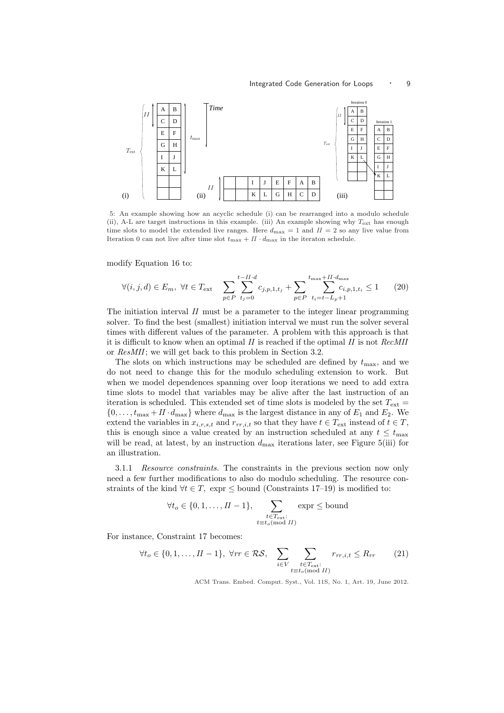

5: An example showing how an acyclic schedule (i) can be rearranged into a modulo schedule (ii), A-L are target instructions in this example. (iii) An example showing why  $T_{ext}$  has enough time slots to model the extended live ranges. Here  $d_{\text{max}} = 1$  and  $II = 2$  so any live value from Iteration 0 can not live after time slot  $t_{\text{max}} + II \cdot d_{\text{max}}$  in the iteraton schedule.

modify Equation 16 to:

$$
\forall (i, j, d) \in E_m, \ \forall t \in T_{\text{ext}} \quad \sum_{p \in P} \sum_{t_j=0}^{t-II \cdot d} c_{j, p, 1, t_j} + \sum_{p \in P} \sum_{t_i=t-L_p+1}^{t_{\text{max}}+II \cdot d_{\text{max}}} c_{i, p, 1, t_i} \le 1 \tag{20}
$$

The initiation interval  $II$  must be a parameter to the integer linear programming solver. To find the best (smallest) initiation interval we must run the solver several times with different values of the parameter. A problem with this approach is that it is difficult to know when an optimal  $II$  is reached if the optimal  $II$  is not  $RecMI$ or ResMII; we will get back to this problem in Section 3.2.

The slots on which instructions may be scheduled are defined by  $t_{\text{max}}$ , and we do not need to change this for the modulo scheduling extension to work. But when we model dependences spanning over loop iterations we need to add extra time slots to model that variables may be alive after the last instruction of an iteration is scheduled. This extended set of time slots is modeled by the set  $T_{ext}$  =  $\{0, \ldots, t_{\text{max}} + II \cdot d_{\text{max}}\}$  where  $d_{\text{max}}$  is the largest distance in any of  $E_1$  and  $E_2$ . We extend the variables in  $x_{i,r,s,t}$  and  $r_{rr,i,t}$  so that they have  $t \in T_{\text{ext}}$  instead of  $t \in T$ , this is enough since a value created by an instruction scheduled at any  $t \leq t_{\text{max}}$ will be read, at latest, by an instruction  $d_{\text{max}}$  iterations later, see Figure 5(iii) for an illustration.

3.1.1 Resource constraints. The constraints in the previous section now only need a few further modifications to also do modulo scheduling. The resource constraints of the kind  $\forall t \in T$ , expr  $\leq$  bound (Constraints 17–19) is modified to:

$$
\forall t_o \in \{0, 1, \dots, II - 1\}, \sum_{\substack{t \in T_{\text{ext}}:\\t \equiv t_o \pmod{II}}} \exp \le \text{bound}
$$

For instance, Constraint 17 becomes:

$$
\forall t_o \in \{0, 1, \dots, II - 1\}, \ \forall rr \in \mathcal{RS}, \quad \sum_{i \in V} \sum_{\substack{t \in T_{\text{ext}} : \\ t \equiv t_o(\text{mod } H)}} r_{rr,i,t} \le R_{rr} \tag{21}
$$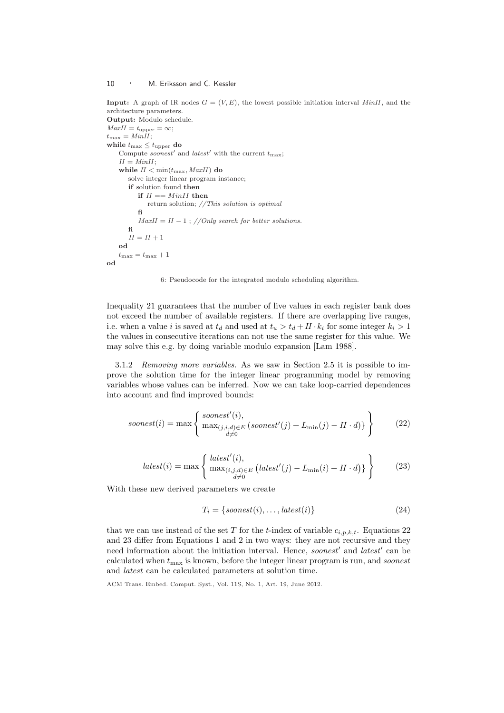**Input:** A graph of IR nodes  $G = (V, E)$ , the lowest possible initiation interval MinII, and the architecture parameters. Output: Modulo schedule.  $MaxII = t_{\text{upper}} = \infty;$  $t_{\text{max}} = MinII;$ while  $t_{\text{max}} \leq t_{\text{upper}}$  do Compute *soonest'* and *latest'* with the current  $t_{\text{max}}$ ;  $II = MinII;$ while  $II < min(t_{\text{max}}, \text{MaxII})$  do solve integer linear program instance; if solution found then if  $II == MinII$  then return solution; //This solution is optimal fi  $MaxII = II - 1$ ; //Only search for better solutions. fi  $II = II + 1$ od  $t_{\text{max}} = t_{\text{max}} + 1$ od



Inequality 21 guarantees that the number of live values in each register bank does not exceed the number of available registers. If there are overlapping live ranges, i.e. when a value i is saved at  $t_d$  and used at  $t_u > t_d + II \cdot k_i$  for some integer  $k_i > 1$ the values in consecutive iterations can not use the same register for this value. We may solve this e.g. by doing variable modulo expansion [Lam 1988].

3.1.2 Removing more variables. As we saw in Section 2.5 it is possible to improve the solution time for the integer linear programming model by removing variables whose values can be inferred. Now we can take loop-carried dependences into account and find improved bounds:

$$
soonest(i) = \max \left\{ \begin{array}{l} soonest'(i), \\ \max_{(j,i,d) \in E} (soonest'(j) + L_{\min}(j) - II \cdot d) \} \\ \underset{d \neq 0}{\stackrel{\text{if } i \in E} \end{array} \right\} \tag{22}
$$

$$
last(i) = \max \left\{ \begin{array}{l} latest'(i), \\ \max_{(i,j,d) \in E} \left( latest'(j) - L_{\min}(i) + II \cdot d \right) \end{array} \right\} \tag{23}
$$

With these new derived parameters we create

$$
T_i = \{soonest(i), \dots, latest(i)\}\tag{24}
$$

that we can use instead of the set T for the t-index of variable  $c_{i,p,k,t}$ . Equations 22 and 23 differ from Equations 1 and 2 in two ways: they are not recursive and they need information about the initiation interval. Hence, soonest' and latest' can be calculated when  $t_{\text{max}}$  is known, before the integer linear program is run, and *soonest* and latest can be calculated parameters at solution time.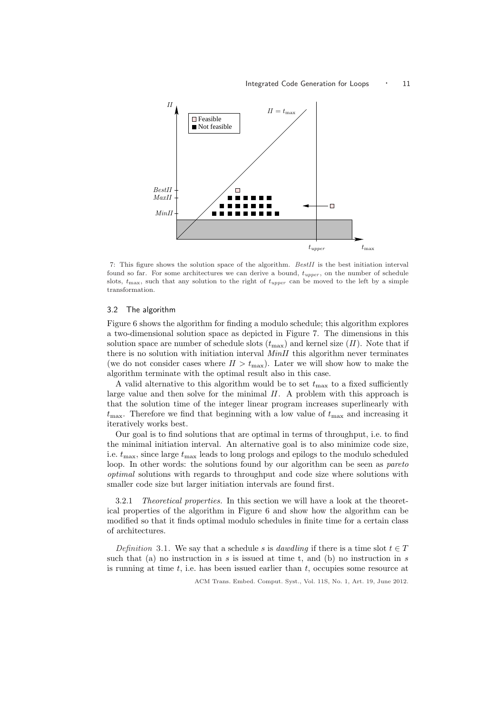

7: This figure shows the solution space of the algorithm. BestII is the best initiation interval found so far. For some architectures we can derive a bound,  $t_{upper}$ , on the number of schedule slots,  $t_{\text{max}}$ , such that any solution to the right of  $t_{upper}$  can be moved to the left by a simple transformation.

# 3.2 The algorithm

Figure 6 shows the algorithm for finding a modulo schedule; this algorithm explores a two-dimensional solution space as depicted in Figure 7. The dimensions in this solution space are number of schedule slots  $(t_{\text{max}})$  and kernel size (II). Note that if there is no solution with initiation interval  $MinII$  this algorithm never terminates (we do not consider cases where  $II > t_{\text{max}}$ ). Later we will show how to make the algorithm terminate with the optimal result also in this case.

A valid alternative to this algorithm would be to set  $t_{\text{max}}$  to a fixed sufficiently large value and then solve for the minimal  $II$ . A problem with this approach is that the solution time of the integer linear program increases superlinearly with  $t_{\text{max}}$ . Therefore we find that beginning with a low value of  $t_{\text{max}}$  and increasing it iteratively works best.

Our goal is to find solutions that are optimal in terms of throughput, i.e. to find the minimal initiation interval. An alternative goal is to also minimize code size, i.e.  $t_{\text{max}}$ , since large  $t_{\text{max}}$  leads to long prologs and epilogs to the modulo scheduled loop. In other words: the solutions found by our algorithm can be seen as *pareto* optimal solutions with regards to throughput and code size where solutions with smaller code size but larger initiation intervals are found first.

3.2.1 Theoretical properties. In this section we will have a look at the theoretical properties of the algorithm in Figure 6 and show how the algorithm can be modified so that it finds optimal modulo schedules in finite time for a certain class of architectures.

Definition 3.1. We say that a schedule s is dawdling if there is a time slot  $t \in T$ such that (a) no instruction in s is issued at time t, and (b) no instruction in s is running at time  $t$ , i.e. has been issued earlier than  $t$ , occupies some resource at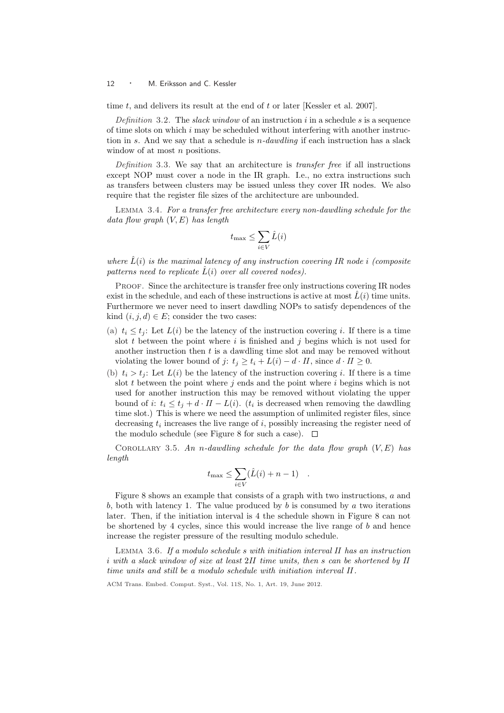time  $t$ , and delivers its result at the end of  $t$  or later [Kessler et al. 2007].

Definition 3.2. The slack window of an instruction i in a schedule s is a sequence of time slots on which i may be scheduled without interfering with another instruction in s. And we say that a schedule is  $n$ -dawdling if each instruction has a slack window of at most *n* positions.

Definition 3.3. We say that an architecture is *transfer free* if all instructions except NOP must cover a node in the IR graph. I.e., no extra instructions such as transfers between clusters may be issued unless they cover IR nodes. We also require that the register file sizes of the architecture are unbounded.

Lemma 3.4. For a transfer free architecture every non-dawdling schedule for the data flow graph  $(V, E)$  has length

$$
t_{\max} \leq \sum_{i \in V} \hat{L}(i)
$$

where  $\hat{L}(i)$  is the maximal latency of any instruction covering IR node i (composite patterns need to replicate  $\hat{L}(i)$  over all covered nodes).

PROOF. Since the architecture is transfer free only instructions covering IR nodes exist in the schedule, and each of these instructions is active at most  $L(i)$  time units. Furthermore we never need to insert dawdling NOPs to satisfy dependences of the kind  $(i, j, d) \in E$ ; consider the two cases:

- (a)  $t_i \leq t_i$ : Let  $L(i)$  be the latency of the instruction covering i. If there is a time slot t between the point where i is finished and j begins which is not used for another instruction then t is a dawdling time slot and may be removed without violating the lower bound of j:  $t_j \ge t_i + L(i) - d \cdot H$ , since  $d \cdot H \ge 0$ .
- (b)  $t_i > t_j$ : Let  $L(i)$  be the latency of the instruction covering i. If there is a time slot  $t$  between the point where  $j$  ends and the point where  $i$  begins which is not used for another instruction this may be removed without violating the upper bound of i:  $t_i \leq t_j + d \cdot H - L(i)$ . ( $t_i$  is decreased when removing the dawdling time slot.) This is where we need the assumption of unlimited register files, since decreasing  $t_i$  increases the live range of i, possibly increasing the register need of the modulo schedule (see Figure 8 for such a case).  $\Box$

COROLLARY 3.5. An n-dawdling schedule for the data flow graph  $(V, E)$  has length

$$
t_{\max} \leq \sum_{i \in V} (\hat{L}(i) + n - 1) .
$$

Figure 8 shows an example that consists of a graph with two instructions, a and b, both with latency 1. The value produced by b is consumed by a two iterations later. Then, if the initiation interval is 4 the schedule shown in Figure 8 can not be shortened by 4 cycles, since this would increase the live range of  $b$  and hence increase the register pressure of the resulting modulo schedule.

LEMMA 3.6. If a modulo schedule s with initiation interval  $II$  has an instruction i with a slack window of size at least 2II time units, then s can be shortened by II time units and still be a modulo schedule with initiation interval II .

ACM Trans. Embed. Comput. Syst., Vol. 11S, No. 1, Art. 19, June 2012.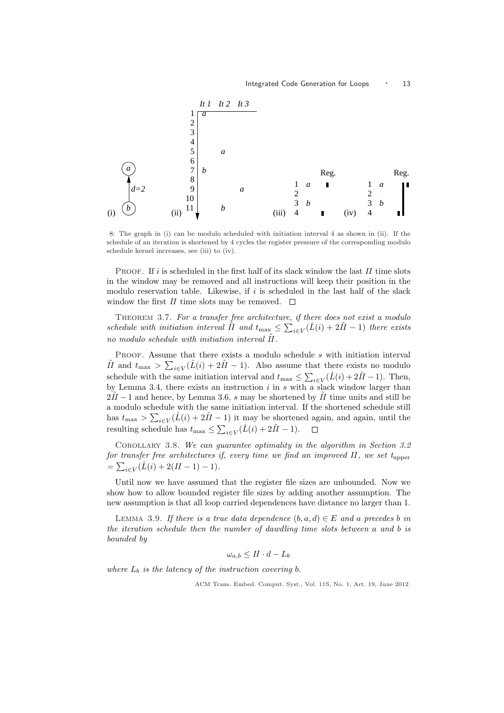

8: The graph in (i) can be modulo scheduled with initiation interval 4 as shown in (ii). If the schedule of an iteration is shortened by 4 cycles the register pressure of the corresponding modulo schedule kernel increases, see (iii) to (iv).

PROOF. If i is scheduled in the first half of its slack window the last  $II$  time slots in the window may be removed and all instructions will keep their position in the modulo reservation table. Likewise, if  $i$  is scheduled in the last half of the slack window the first  $II$  time slots may be removed.  $\Box$ 

THEOREM 3.7. For a transfer free architecture, if there does not exist a modulo schedule with initiation interval  $\tilde{I}I$  and  $t_{\text{max}} \leq \sum_{i \in V} (\hat{L}(i) + 2\tilde{I}I - 1)$  there exists no modulo schedule with initiation interval  $II$ .

PROOF. Assume that there exists a modulo schedule s with initiation interval  $\tilde{H}$  and  $t_{\text{max}} > \sum_{i \in V} (\hat{L}(i) + 2\tilde{H} - 1)$ . Also assume that there exists no modulo schedule with the same initiation interval and  $t_{\text{max}} \leq \sum_{i \in V} (\hat{L}(i) + 2\tilde{H} - 1)$ . Then, by Lemma 3.4, there exists an instruction  $i$  in  $s$  with a slack window larger than  $2\tilde{I}I-1$  and hence, by Lemma 3.6, s may be shortened by  $\tilde{I}I$  time units and still be a modulo schedule with the same initiation interval. If the shortened schedule still has  $t_{\text{max}} > \sum_{i \in V} (\hat{L}(i) + 2\tilde{H} - 1)$  it may be shortened again, and again, until the resulting schedule has  $t_{\text{max}} \leq \sum_{i \in V} (\hat{L}(i) + 2\tilde{H} - 1).$ 

Corollary 3.8. We can guarantee optimality in the algorithm in Section 3.2 for transfer free architectures if, every time we find an improved II, we set  $t_{\text{upper}}$  $=\sum_{i\in V}(\hat{L}(i) + 2(II-1) - 1).$ 

Until now we have assumed that the register file sizes are unbounded. Now we show how to allow bounded register file sizes by adding another assumption. The new assumption is that all loop carried dependences have distance no larger than 1.

LEMMA 3.9. If there is a true data dependence  $(b, a, d) \in E$  and a precedes b in the iteration schedule then the number of dawdling time slots between a and b is bounded by

$$
\omega_{a,b} \leq II \cdot d - L_b
$$

where  $L_b$  is the latency of the instruction covering  $b$ .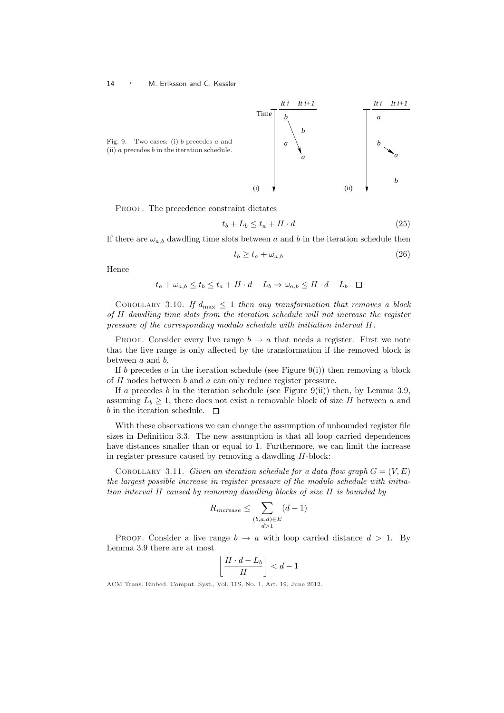

PROOF. The precedence constraint dictates

$$
t_b + L_b \le t_a + II \cdot d \tag{25}
$$

If there are  $\omega_{a,b}$  dawdling time slots between a and b in the iteration schedule then

$$
t_b \ge t_a + \omega_{a,b} \tag{26}
$$

Hence

$$
t_a + \omega_{a,b} \le t_b \le t_a + II \cdot d - L_b \Rightarrow \omega_{a,b} \le II \cdot d - L_b \quad \Box
$$

COROLLARY 3.10. If  $d_{\text{max}} \leq 1$  then any transformation that removes a block of II dawdling time slots from the iteration schedule will not increase the register pressure of the corresponding modulo schedule with initiation interval II .

PROOF. Consider every live range  $b \to a$  that needs a register. First we note that the live range is only affected by the transformation if the removed block is between a and b.

If b precedes a in the iteration schedule (see Figure 9(i)) then removing a block of II nodes between b and a can only reduce register pressure.

If a precedes  $b$  in the iteration schedule (see Figure 9(ii)) then, by Lemma 3.9, assuming  $L_b \geq 1$ , there does not exist a removable block of size II between a and  $b$  in the iteration schedule.  $\Box$ 

With these observations we can change the assumption of unbounded register file sizes in Definition 3.3. The new assumption is that all loop carried dependences have distances smaller than or equal to 1. Furthermore, we can limit the increase in register pressure caused by removing a dawdling II-block:

COROLLARY 3.11. Given an iteration schedule for a data flow graph  $G = (V, E)$ the largest possible increase in register pressure of the modulo schedule with initiation interval II caused by removing dawdling blocks of size II is bounded by

$$
R_{increase} \leq \sum_{\substack{(b,a,d)\in E\\d>1}} (d-1)
$$

PROOF. Consider a live range  $b \to a$  with loop carried distance  $d > 1$ . By Lemma 3.9 there are at most l.

$$
\left\lfloor \frac{H \cdot d - L_b}{H} \right\rfloor < d - 1
$$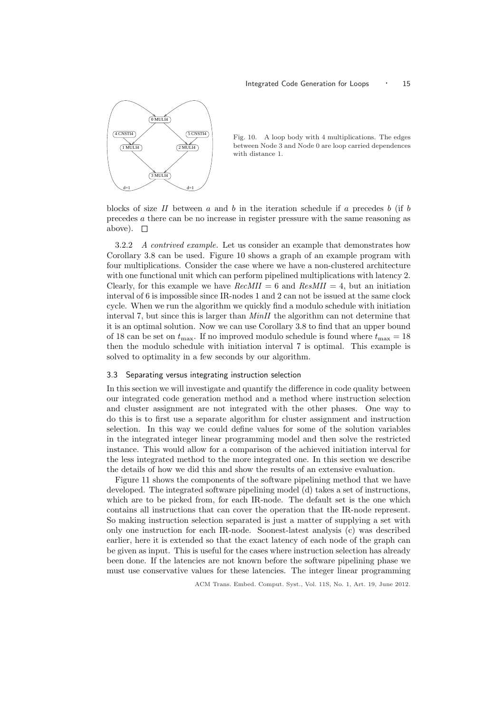

Fig. 10. A loop body with 4 multiplications. The edges between Node 3 and Node 0 are loop carried dependences with distance 1.

blocks of size  $II$  between  $a$  and  $b$  in the iteration schedule if  $a$  precedes  $b$  (if  $b$ precedes a there can be no increase in register pressure with the same reasoning as above).  $\square$ 

3.2.2 A contrived example. Let us consider an example that demonstrates how Corollary 3.8 can be used. Figure 10 shows a graph of an example program with four multiplications. Consider the case where we have a non-clustered architecture with one functional unit which can perform pipelined multiplications with latency 2. Clearly, for this example we have  $RecMI = 6$  and  $ResMI = 4$ , but an initiation interval of 6 is impossible since IR-nodes 1 and 2 can not be issued at the same clock cycle. When we run the algorithm we quickly find a modulo schedule with initiation interval 7, but since this is larger than MinII the algorithm can not determine that it is an optimal solution. Now we can use Corollary 3.8 to find that an upper bound of 18 can be set on  $t_{\text{max}}$ . If no improved modulo schedule is found where  $t_{\text{max}} = 18$ then the modulo schedule with initiation interval 7 is optimal. This example is solved to optimality in a few seconds by our algorithm.

# 3.3 Separating versus integrating instruction selection

In this section we will investigate and quantify the difference in code quality between our integrated code generation method and a method where instruction selection and cluster assignment are not integrated with the other phases. One way to do this is to first use a separate algorithm for cluster assignment and instruction selection. In this way we could define values for some of the solution variables in the integrated integer linear programming model and then solve the restricted instance. This would allow for a comparison of the achieved initiation interval for the less integrated method to the more integrated one. In this section we describe the details of how we did this and show the results of an extensive evaluation.

Figure 11 shows the components of the software pipelining method that we have developed. The integrated software pipelining model (d) takes a set of instructions, which are to be picked from, for each IR-node. The default set is the one which contains all instructions that can cover the operation that the IR-node represent. So making instruction selection separated is just a matter of supplying a set with only one instruction for each IR-node. Soonest-latest analysis (c) was described earlier, here it is extended so that the exact latency of each node of the graph can be given as input. This is useful for the cases where instruction selection has already been done. If the latencies are not known before the software pipelining phase we must use conservative values for these latencies. The integer linear programming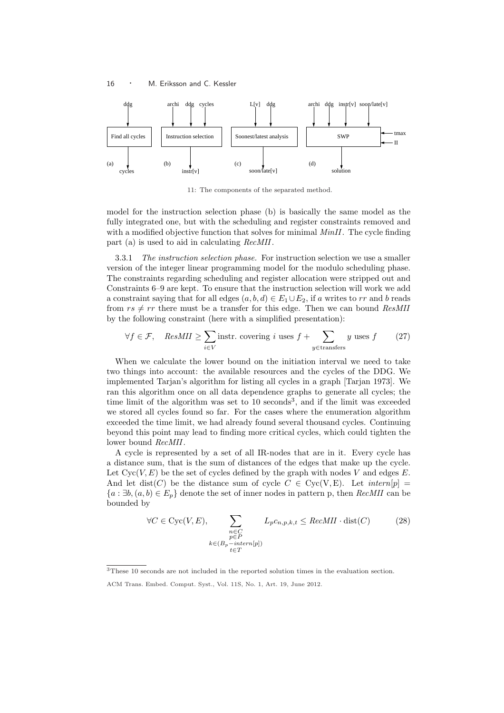

11: The components of the separated method.

model for the instruction selection phase (b) is basically the same model as the fully integrated one, but with the scheduling and register constraints removed and with a modified objective function that solves for minimal  $MinII$ . The cycle finding part (a) is used to aid in calculating RecMII.

3.3.1 The instruction selection phase. For instruction selection we use a smaller version of the integer linear programming model for the modulo scheduling phase. The constraints regarding scheduling and register allocation were stripped out and Constraints 6–9 are kept. To ensure that the instruction selection will work we add a constraint saying that for all edges  $(a, b, d) \in E_1 \cup E_2$ , if a writes to rr and b reads from  $rs \neq rr$  there must be a transfer for this edge. Then we can bound ResMII by the following constraint (here with a simplified presentation):

$$
\forall f \in \mathcal{F}, \quad ResMII \ge \sum_{i \in V} \text{instr. covering } i \text{ uses } f + \sum_{y \in \text{transfers}} y \text{ uses } f \tag{27}
$$

When we calculate the lower bound on the initiation interval we need to take two things into account: the available resources and the cycles of the DDG. We implemented Tarjan's algorithm for listing all cycles in a graph [Tarjan 1973]. We ran this algorithm once on all data dependence graphs to generate all cycles; the time limit of the algorithm was set to  $10$  seconds<sup>3</sup>, and if the limit was exceeded we stored all cycles found so far. For the cases where the enumeration algorithm exceeded the time limit, we had already found several thousand cycles. Continuing beyond this point may lead to finding more critical cycles, which could tighten the lower bound RecMII.

A cycle is represented by a set of all IR-nodes that are in it. Every cycle has a distance sum, that is the sum of distances of the edges that make up the cycle. Let  $Cyc(V, E)$  be the set of cycles defined by the graph with nodes V and edges E. And let dist(C) be the distance sum of cycle  $C \in Cyc(V, E)$ . Let  $\text{intern}[p] =$  ${a : \exists b, (a, b) \in E_p}$  denote the set of inner nodes in pattern p, then RecMII can be bounded by

$$
\forall C \in \text{Cyc}(V, E), \sum_{\substack{n \in C \\ p \in P \\ k \in (B_p - intern[p])}} L_p c_{n, p, k, t} \leq RecMII \cdot \text{dist}(C) \tag{28}
$$

<sup>3</sup>These 10 seconds are not included in the reported solution times in the evaluation section.

ACM Trans. Embed. Comput. Syst., Vol. 11S, No. 1, Art. 19, June 2012.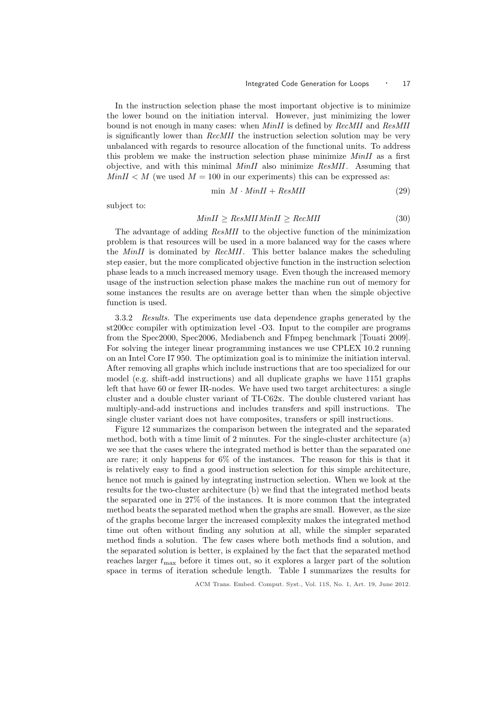In the instruction selection phase the most important objective is to minimize the lower bound on the initiation interval. However, just minimizing the lower bound is not enough in many cases: when MinII is defined by RecMII and ResMII is significantly lower than RecMII the instruction selection solution may be very unbalanced with regards to resource allocation of the functional units. To address this problem we make the instruction selection phase minimize MinII as a first objective, and with this minimal  $MinII$  also minimize  $ResMII$ . Assuming that  $MinII < M$  (we used  $M = 100$  in our experiments) this can be expressed as:

$$
\min M \cdot MinII + ResMII \tag{29}
$$

subject to:

# $MinII > ResMIIMinII > RecMII$  (30)

The advantage of adding ResMII to the objective function of the minimization problem is that resources will be used in a more balanced way for the cases where the MinII is dominated by RecMII. This better balance makes the scheduling step easier, but the more complicated objective function in the instruction selection phase leads to a much increased memory usage. Even though the increased memory usage of the instruction selection phase makes the machine run out of memory for some instances the results are on average better than when the simple objective function is used.

3.3.2 Results. The experiments use data dependence graphs generated by the st200cc compiler with optimization level -O3. Input to the compiler are programs from the Spec2000, Spec2006, Mediabench and Ffmpeg benchmark [Touati 2009]. For solving the integer linear programming instances we use CPLEX 10.2 running on an Intel Core I7 950. The optimization goal is to minimize the initiation interval. After removing all graphs which include instructions that are too specialized for our model (e.g. shift-add instructions) and all duplicate graphs we have 1151 graphs left that have 60 or fewer IR-nodes. We have used two target architectures: a single cluster and a double cluster variant of TI-C62x. The double clustered variant has multiply-and-add instructions and includes transfers and spill instructions. The single cluster variant does not have composites, transfers or spill instructions.

Figure 12 summarizes the comparison between the integrated and the separated method, both with a time limit of 2 minutes. For the single-cluster architecture (a) we see that the cases where the integrated method is better than the separated one are rare; it only happens for 6% of the instances. The reason for this is that it is relatively easy to find a good instruction selection for this simple architecture, hence not much is gained by integrating instruction selection. When we look at the results for the two-cluster architecture (b) we find that the integrated method beats the separated one in 27% of the instances. It is more common that the integrated method beats the separated method when the graphs are small. However, as the size of the graphs become larger the increased complexity makes the integrated method time out often without finding any solution at all, while the simpler separated method finds a solution. The few cases where both methods find a solution, and the separated solution is better, is explained by the fact that the separated method reaches larger  $t_{\text{max}}$  before it times out, so it explores a larger part of the solution space in terms of iteration schedule length. Table I summarizes the results for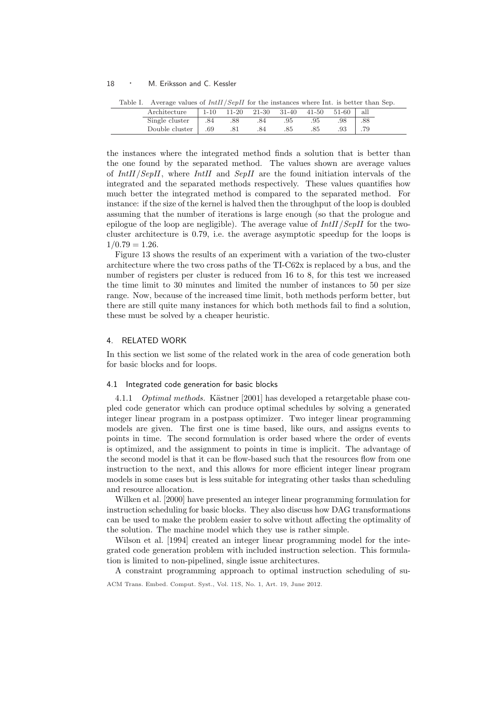| Table I. Average values of $IntII/SenII$ for the instances where Int. is better than Sep. |     |                |             |     |       |       |     |  |
|-------------------------------------------------------------------------------------------|-----|----------------|-------------|-----|-------|-------|-----|--|
| Architecture                                                                              |     | $1-10$ $11-20$ | 21-30 31-40 |     | 41-50 | 51-60 | all |  |
| Single cluster                                                                            | .84 | .88            | .84         | .95 | .95   | .98   | .88 |  |
| Double cluster                                                                            | .69 | .81            | .84         | .85 | .85   | 93    | .79 |  |

the instances where the integrated method finds a solution that is better than the one found by the separated method. The values shown are average values of IntII/SepII, where IntII and SepII are the found initiation intervals of the integrated and the separated methods respectively. These values quantifies how much better the integrated method is compared to the separated method. For instance: if the size of the kernel is halved then the throughput of the loop is doubled assuming that the number of iterations is large enough (so that the prologue and epilogue of the loop are negligible). The average value of  $IntII/SepII$  for the twocluster architecture is 0.79, i.e. the average asymptotic speedup for the loops is  $1/0.79 = 1.26$ .

Figure 13 shows the results of an experiment with a variation of the two-cluster architecture where the two cross paths of the TI-C62x is replaced by a bus, and the number of registers per cluster is reduced from 16 to 8, for this test we increased the time limit to 30 minutes and limited the number of instances to 50 per size range. Now, because of the increased time limit, both methods perform better, but there are still quite many instances for which both methods fail to find a solution, these must be solved by a cheaper heuristic.

# 4. RELATED WORK

In this section we list some of the related work in the area of code generation both for basic blocks and for loops.

# 4.1 Integrated code generation for basic blocks

4.1.1 *Optimal methods.* Kästner [2001] has developed a retargetable phase coupled code generator which can produce optimal schedules by solving a generated integer linear program in a postpass optimizer. Two integer linear programming models are given. The first one is time based, like ours, and assigns events to points in time. The second formulation is order based where the order of events is optimized, and the assignment to points in time is implicit. The advantage of the second model is that it can be flow-based such that the resources flow from one instruction to the next, and this allows for more efficient integer linear program models in some cases but is less suitable for integrating other tasks than scheduling and resource allocation.

Wilken et al. [2000] have presented an integer linear programming formulation for instruction scheduling for basic blocks. They also discuss how DAG transformations can be used to make the problem easier to solve without affecting the optimality of the solution. The machine model which they use is rather simple.

Wilson et al. [1994] created an integer linear programming model for the integrated code generation problem with included instruction selection. This formulation is limited to non-pipelined, single issue architectures.

A constraint programming approach to optimal instruction scheduling of su-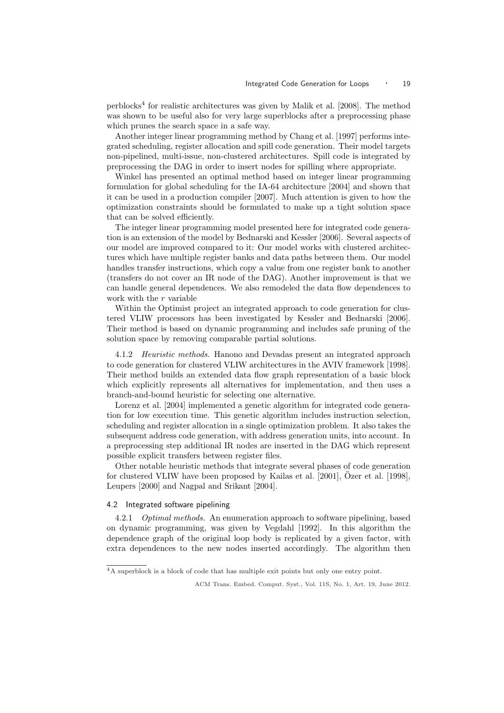perblocks<sup>4</sup> for realistic architectures was given by Malik et al. [2008]. The method was shown to be useful also for very large superblocks after a preprocessing phase which prunes the search space in a safe way.

Another integer linear programming method by Chang et al. [1997] performs integrated scheduling, register allocation and spill code generation. Their model targets non-pipelined, multi-issue, non-clustered architectures. Spill code is integrated by preprocessing the DAG in order to insert nodes for spilling where appropriate.

Winkel has presented an optimal method based on integer linear programming formulation for global scheduling for the IA-64 architecture [2004] and shown that it can be used in a production compiler [2007]. Much attention is given to how the optimization constraints should be formulated to make up a tight solution space that can be solved efficiently.

The integer linear programming model presented here for integrated code generation is an extension of the model by Bednarski and Kessler [2006]. Several aspects of our model are improved compared to it: Our model works with clustered architectures which have multiple register banks and data paths between them. Our model handles transfer instructions, which copy a value from one register bank to another (transfers do not cover an IR node of the DAG). Another improvement is that we can handle general dependences. We also remodeled the data flow dependences to work with the r variable

Within the Optimist project an integrated approach to code generation for clustered VLIW processors has been investigated by Kessler and Bednarski [2006]. Their method is based on dynamic programming and includes safe pruning of the solution space by removing comparable partial solutions.

4.1.2 Heuristic methods. Hanono and Devadas present an integrated approach to code generation for clustered VLIW architectures in the AVIV framework [1998]. Their method builds an extended data flow graph representation of a basic block which explicitly represents all alternatives for implementation, and then uses a branch-and-bound heuristic for selecting one alternative.

Lorenz et al. [2004] implemented a genetic algorithm for integrated code generation for low execution time. This genetic algorithm includes instruction selection, scheduling and register allocation in a single optimization problem. It also takes the subsequent address code generation, with address generation units, into account. In a preprocessing step additional IR nodes are inserted in the DAG which represent possible explicit transfers between register files.

Other notable heuristic methods that integrate several phases of code generation for clustered VLIW have been proposed by Kailas et al.  $[2001]$ , Özer et al.  $[1998]$ , Leupers [2000] and Nagpal and Srikant [2004].

# 4.2 Integrated software pipelining

4.2.1 Optimal methods. An enumeration approach to software pipelining, based on dynamic programming, was given by Vegdahl [1992]. In this algorithm the dependence graph of the original loop body is replicated by a given factor, with extra dependences to the new nodes inserted accordingly. The algorithm then

<sup>4</sup>A superblock is a block of code that has multiple exit points but only one entry point.

ACM Trans. Embed. Comput. Syst., Vol. 11S, No. 1, Art. 19, June 2012.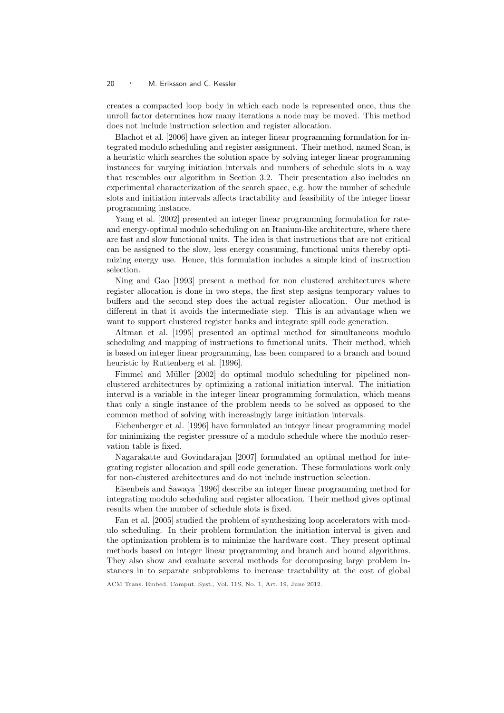creates a compacted loop body in which each node is represented once, thus the unroll factor determines how many iterations a node may be moved. This method does not include instruction selection and register allocation.

Blachot et al. [2006] have given an integer linear programming formulation for integrated modulo scheduling and register assignment. Their method, named Scan, is a heuristic which searches the solution space by solving integer linear programming instances for varying initiation intervals and numbers of schedule slots in a way that resembles our algorithm in Section 3.2. Their presentation also includes an experimental characterization of the search space, e.g. how the number of schedule slots and initiation intervals affects tractability and feasibility of the integer linear programming instance.

Yang et al. [2002] presented an integer linear programming formulation for rateand energy-optimal modulo scheduling on an Itanium-like architecture, where there are fast and slow functional units. The idea is that instructions that are not critical can be assigned to the slow, less energy consuming, functional units thereby optimizing energy use. Hence, this formulation includes a simple kind of instruction selection.

Ning and Gao [1993] present a method for non clustered architectures where register allocation is done in two steps, the first step assigns temporary values to buffers and the second step does the actual register allocation. Our method is different in that it avoids the intermediate step. This is an advantage when we want to support clustered register banks and integrate spill code generation.

Altman et al. [1995] presented an optimal method for simultaneous modulo scheduling and mapping of instructions to functional units. Their method, which is based on integer linear programming, has been compared to a branch and bound heuristic by Ruttenberg et al. [1996].

Fimmel and Müller [2002] do optimal modulo scheduling for pipelined nonclustered architectures by optimizing a rational initiation interval. The initiation interval is a variable in the integer linear programming formulation, which means that only a single instance of the problem needs to be solved as opposed to the common method of solving with increasingly large initiation intervals.

Eichenberger et al. [1996] have formulated an integer linear programming model for minimizing the register pressure of a modulo schedule where the modulo reservation table is fixed.

Nagarakatte and Govindarajan [2007] formulated an optimal method for integrating register allocation and spill code generation. These formulations work only for non-clustered architectures and do not include instruction selection.

Eisenbeis and Sawaya [1996] describe an integer linear programming method for integrating modulo scheduling and register allocation. Their method gives optimal results when the number of schedule slots is fixed.

Fan et al. [2005] studied the problem of synthesizing loop accelerators with modulo scheduling. In their problem formulation the initiation interval is given and the optimization problem is to minimize the hardware cost. They present optimal methods based on integer linear programming and branch and bound algorithms. They also show and evaluate several methods for decomposing large problem instances in to separate subproblems to increase tractability at the cost of global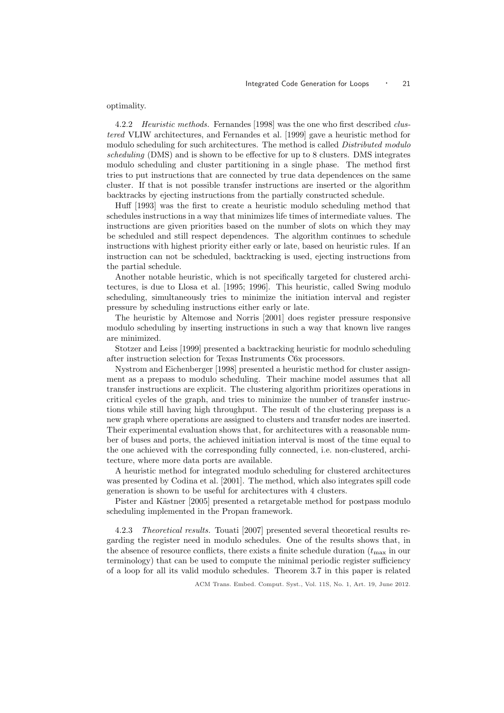optimality.

4.2.2 Heuristic methods. Fernandes [1998] was the one who first described clustered VLIW architectures, and Fernandes et al. [1999] gave a heuristic method for modulo scheduling for such architectures. The method is called Distributed modulo scheduling (DMS) and is shown to be effective for up to 8 clusters. DMS integrates modulo scheduling and cluster partitioning in a single phase. The method first tries to put instructions that are connected by true data dependences on the same cluster. If that is not possible transfer instructions are inserted or the algorithm backtracks by ejecting instructions from the partially constructed schedule.

Huff [1993] was the first to create a heuristic modulo scheduling method that schedules instructions in a way that minimizes life times of intermediate values. The instructions are given priorities based on the number of slots on which they may be scheduled and still respect dependences. The algorithm continues to schedule instructions with highest priority either early or late, based on heuristic rules. If an instruction can not be scheduled, backtracking is used, ejecting instructions from the partial schedule.

Another notable heuristic, which is not specifically targeted for clustered architectures, is due to Llosa et al. [1995; 1996]. This heuristic, called Swing modulo scheduling, simultaneously tries to minimize the initiation interval and register pressure by scheduling instructions either early or late.

The heuristic by Altemose and Norris [2001] does register pressure responsive modulo scheduling by inserting instructions in such a way that known live ranges are minimized.

Stotzer and Leiss [1999] presented a backtracking heuristic for modulo scheduling after instruction selection for Texas Instruments C6x processors.

Nystrom and Eichenberger [1998] presented a heuristic method for cluster assignment as a prepass to modulo scheduling. Their machine model assumes that all transfer instructions are explicit. The clustering algorithm prioritizes operations in critical cycles of the graph, and tries to minimize the number of transfer instructions while still having high throughput. The result of the clustering prepass is a new graph where operations are assigned to clusters and transfer nodes are inserted. Their experimental evaluation shows that, for architectures with a reasonable number of buses and ports, the achieved initiation interval is most of the time equal to the one achieved with the corresponding fully connected, i.e. non-clustered, architecture, where more data ports are available.

A heuristic method for integrated modulo scheduling for clustered architectures was presented by Codina et al. [2001]. The method, which also integrates spill code generation is shown to be useful for architectures with 4 clusters.

Pister and Kästner [2005] presented a retargetable method for postpass modulo scheduling implemented in the Propan framework.

4.2.3 Theoretical results. Touati [2007] presented several theoretical results regarding the register need in modulo schedules. One of the results shows that, in the absence of resource conflicts, there exists a finite schedule duration  $(t_{\text{max}}$  in our terminology) that can be used to compute the minimal periodic register sufficiency of a loop for all its valid modulo schedules. Theorem 3.7 in this paper is related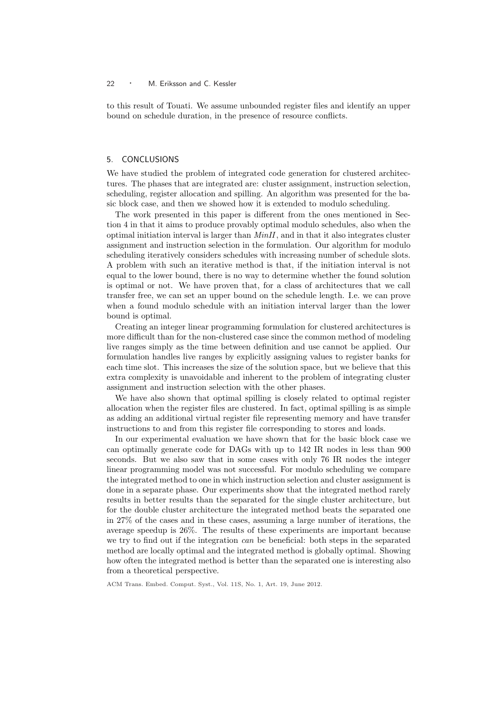to this result of Touati. We assume unbounded register files and identify an upper bound on schedule duration, in the presence of resource conflicts.

## 5. CONCLUSIONS

We have studied the problem of integrated code generation for clustered architectures. The phases that are integrated are: cluster assignment, instruction selection, scheduling, register allocation and spilling. An algorithm was presented for the basic block case, and then we showed how it is extended to modulo scheduling.

The work presented in this paper is different from the ones mentioned in Section 4 in that it aims to produce provably optimal modulo schedules, also when the optimal initiation interval is larger than  $MinII$ , and in that it also integrates cluster assignment and instruction selection in the formulation. Our algorithm for modulo scheduling iteratively considers schedules with increasing number of schedule slots. A problem with such an iterative method is that, if the initiation interval is not equal to the lower bound, there is no way to determine whether the found solution is optimal or not. We have proven that, for a class of architectures that we call transfer free, we can set an upper bound on the schedule length. I.e. we can prove when a found modulo schedule with an initiation interval larger than the lower bound is optimal.

Creating an integer linear programming formulation for clustered architectures is more difficult than for the non-clustered case since the common method of modeling live ranges simply as the time between definition and use cannot be applied. Our formulation handles live ranges by explicitly assigning values to register banks for each time slot. This increases the size of the solution space, but we believe that this extra complexity is unavoidable and inherent to the problem of integrating cluster assignment and instruction selection with the other phases.

We have also shown that optimal spilling is closely related to optimal register allocation when the register files are clustered. In fact, optimal spilling is as simple as adding an additional virtual register file representing memory and have transfer instructions to and from this register file corresponding to stores and loads.

In our experimental evaluation we have shown that for the basic block case we can optimally generate code for DAGs with up to 142 IR nodes in less than 900 seconds. But we also saw that in some cases with only 76 IR nodes the integer linear programming model was not successful. For modulo scheduling we compare the integrated method to one in which instruction selection and cluster assignment is done in a separate phase. Our experiments show that the integrated method rarely results in better results than the separated for the single cluster architecture, but for the double cluster architecture the integrated method beats the separated one in 27% of the cases and in these cases, assuming a large number of iterations, the average speedup is 26%. The results of these experiments are important because we try to find out if the integration can be beneficial: both steps in the separated method are locally optimal and the integrated method is globally optimal. Showing how often the integrated method is better than the separated one is interesting also from a theoretical perspective.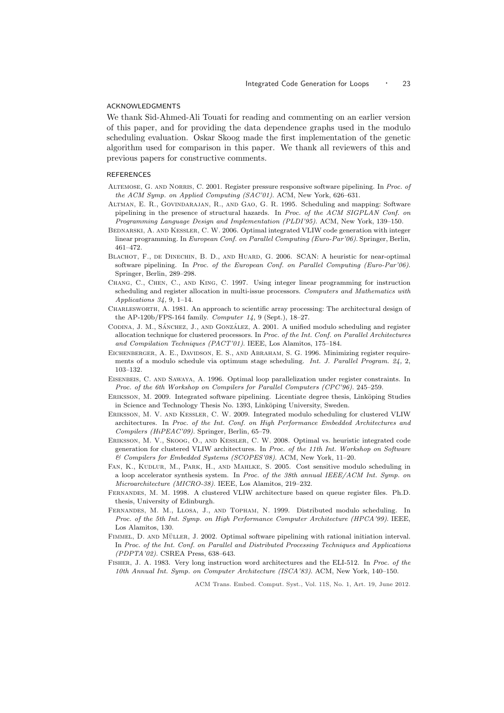## ACKNOWLEDGMENTS

We thank Sid-Ahmed-Ali Touati for reading and commenting on an earlier version of this paper, and for providing the data dependence graphs used in the modulo scheduling evaluation. Oskar Skoog made the first implementation of the genetic algorithm used for comparison in this paper. We thank all reviewers of this and previous papers for constructive comments.

## REFERENCES

- ALTEMOSE, G. AND NORRIS, C. 2001. Register pressure responsive software pipelining. In Proc. of the ACM Symp. on Applied Computing (SAC'01). ACM, New York, 626–631.
- Altman, E. R., Govindarajan, R., and Gao, G. R. 1995. Scheduling and mapping: Software pipelining in the presence of structural hazards. In Proc. of the ACM SIGPLAN Conf. on Programming Language Design and Implementation (PLDI'95). ACM, New York, 139–150.
- BEDNARSKI, A. AND KESSLER, C. W. 2006. Optimal integrated VLIW code generation with integer linear programming. In European Conf. on Parallel Computing (Euro-Par'06). Springer, Berlin, 461–472.
- BLACHOT, F., DE DINECHIN, B. D., AND HUARD, G. 2006. SCAN: A heuristic for near-optimal software pipelining. In Proc. of the European Conf. on Parallel Computing (Euro-Par'06). Springer, Berlin, 289–298.
- Chang, C., Chen, C., and King, C. 1997. Using integer linear programming for instruction scheduling and register allocation in multi-issue processors. Computers and Mathematics with Applications 34, 9, 1–14.
- Charlesworth, A. 1981. An approach to scientific array processing: The architectural design of the AP-120b/FPS-164 family. Computer 14, 9 (Sept.), 18–27.
- CODINA, J. M., SÁNCHEZ, J., AND GONZÁLEZ, A. 2001. A unified modulo scheduling and register allocation technique for clustered processors. In Proc. of the Int. Conf. on Parallel Architectures and Compilation Techniques (PACT'01). IEEE, Los Alamitos, 175–184.
- EICHENBERGER, A. E., DAVIDSON, E. S., AND ABRAHAM, S. G. 1996. Minimizing register requirements of a modulo schedule via optimum stage scheduling. Int. J. Parallel Program. 24, 2, 103–132.
- Eisenbeis, C. and Sawaya, A. 1996. Optimal loop parallelization under register constraints. In Proc. of the 6th Workshop on Compilers for Parallel Computers (CPC'96). 245–259.
- ERIKSSON, M. 2009. Integrated software pipelining. Licentiate degree thesis, Linköping Studies in Science and Technology Thesis No. 1393, Linköping University, Sweden.
- Eriksson, M. V. and Kessler, C. W. 2009. Integrated modulo scheduling for clustered VLIW architectures. In Proc. of the Int. Conf. on High Performance Embedded Architectures and Compilers (HiPEAC'09). Springer, Berlin, 65–79.
- Eriksson, M. V., Skoog, O., and Kessler, C. W. 2008. Optimal vs. heuristic integrated code generation for clustered VLIW architectures. In Proc. of the 11th Int. Workshop on Software & Compilers for Embedded Systems (SCOPES'08). ACM, New York, 11–20.
- Fan, K., Kudlur, M., Park, H., and Mahlke, S. 2005. Cost sensitive modulo scheduling in a loop accelerator synthesis system. In Proc. of the 38th annual IEEE/ACM Int. Symp. on Microarchitecture (MICRO-38). IEEE, Los Alamitos, 219–232.
- Fernandes, M. M. 1998. A clustered VLIW architecture based on queue register files. Ph.D. thesis, University of Edinburgh.
- Fernandes, M. M., Llosa, J., and Topham, N. 1999. Distributed modulo scheduling. In Proc. of the 5th Int. Symp. on High Performance Computer Architecture (HPCA'99). IEEE, Los Alamitos, 130.
- FIMMEL, D. AND MÜLLER, J. 2002. Optimal software pipelining with rational initiation interval. In Proc. of the Int. Conf. on Parallel and Distributed Processing Techniques and Applications (PDPTA'02). CSREA Press, 638–643.
- Fisher, J. A. 1983. Very long instruction word architectures and the ELI-512. In Proc. of the 10th Annual Int. Symp. on Computer Architecture (ISCA'83). ACM, New York, 140–150.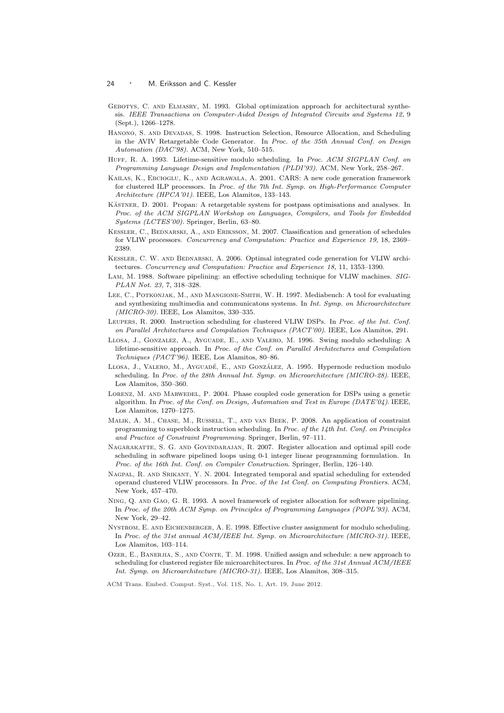- GEBOTYS, C. AND ELMASRY, M. 1993. Global optimization approach for architectural synthesis. IEEE Transactions on Computer-Aided Design of Integrated Circuits and Systems 12, 9 (Sept.), 1266–1278.
- Hanono, S. and Devadas, S. 1998. Instruction Selection, Resource Allocation, and Scheduling in the AVIV Retargetable Code Generator. In Proc. of the 35th Annual Conf. on Design Automation (DAC'98). ACM, New York, 510–515.
- HUFF, R. A. 1993. Lifetime-sensitive modulo scheduling. In Proc. ACM SIGPLAN Conf. on Programming Language Design and Implementation (PLDI'93). ACM, New York, 258–267.
- Kailas, K., Ebcioglu, K., and Agrawala, A. 2001. CARS: A new code generation framework for clustered ILP processors. In Proc. of the 7th Int. Symp. on High-Performance Computer Architecture (HPCA'01). IEEE, Los Alamitos, 133–143.
- KÄSTNER, D. 2001. Propan: A retargetable system for postpass optimisations and analyses. In Proc. of the ACM SIGPLAN Workshop on Languages, Compilers, and Tools for Embedded Systems (LCTES'00). Springer, Berlin, 63–80.
- KESSLER, C., BEDNARSKI, A., AND ERIKSSON, M. 2007. Classification and generation of schedules for VLIW processors. Concurrency and Computation: Practice and Experience 19, 18, 2369– 2389.
- KESSLER, C. W. AND BEDNARSKI, A. 2006. Optimal integrated code generation for VLIW architectures. Concurrency and Computation: Practice and Experience 18, 11, 1353–1390.
- LAM, M. 1988. Software pipelining: an effective scheduling technique for VLIW machines. SIG-PLAN Not. 23, 7, 318–328.
- Lee, C., Potkonjak, M., and Mangione-Smith, W. H. 1997. Mediabench: A tool for evaluating and synthesizing multimedia and communicatons systems. In Int. Symp. on Microarchitecture (MICRO-30). IEEE, Los Alamitos, 330–335.
- Leupers, R. 2000. Instruction scheduling for clustered VLIW DSPs. In Proc. of the Int. Conf. on Parallel Architectures and Compilation Techniques (PACT'00). IEEE, Los Alamitos, 291.
- LLOSA, J., GONZALEZ, A., AYGUADE, E., AND VALERO, M. 1996. Swing modulo scheduling: A lifetime-sensitive approach. In Proc. of the Conf. on Parallel Architectures and Compilation Techniques (PACT'96). IEEE, Los Alamitos, 80–86.
- LLOSA, J., VALERO, M., AYGUADÉ, E., AND GONZÁLEZ, A. 1995. Hypernode reduction modulo scheduling. In Proc. of the 28th Annual Int. Symp. on Microarchitecture (MICRO-28). IEEE, Los Alamitos, 350–360.
- Lorenz, M. and Marwedel, P. 2004. Phase coupled code generation for DSPs using a genetic algorithm. In Proc. of the Conf. on Design, Automation and Test in Europe (DATE'04). IEEE, Los Alamitos, 1270–1275.
- Malik, A. M., Chase, M., Russell, T., and van Beek, P. 2008. An application of constraint programming to superblock instruction scheduling. In Proc. of the 14th Int. Conf. on Principles and Practice of Constraint Programming. Springer, Berlin, 97–111.
- Nagarakatte, S. G. and Govindarajan, R. 2007. Register allocation and optimal spill code scheduling in software pipelined loops using 0-1 integer linear programming formulation. In Proc. of the 16th Int. Conf. on Compiler Construction. Springer, Berlin, 126–140.
- Nagpal, R. and Srikant, Y. N. 2004. Integrated temporal and spatial scheduling for extended operand clustered VLIW processors. In Proc. of the 1st Conf. on Computing Frontiers. ACM, New York, 457–470.
- Ning, Q. and Gao, G. R. 1993. A novel framework of register allocation for software pipelining. In Proc. of the 20th ACM Symp. on Principles of Programming Languages (POPL'93). ACM, New York, 29–42.
- Nystrom, E. and Eichenberger, A. E. 1998. Effective cluster assignment for modulo scheduling. In Proc. of the 31st annual ACM/IEEE Int. Symp. on Microarchitecture (MICRO-31). IEEE, Los Alamitos, 103–114.
- OZER, E., BANERJIA, S., AND CONTE, T. M. 1998. Unified assign and schedule: a new approach to scheduling for clustered register file microarchitectures. In Proc. of the 31st Annual ACM/IEEE Int. Symp. on Microarchitecture (MICRO-31). IEEE, Los Alamitos, 308–315.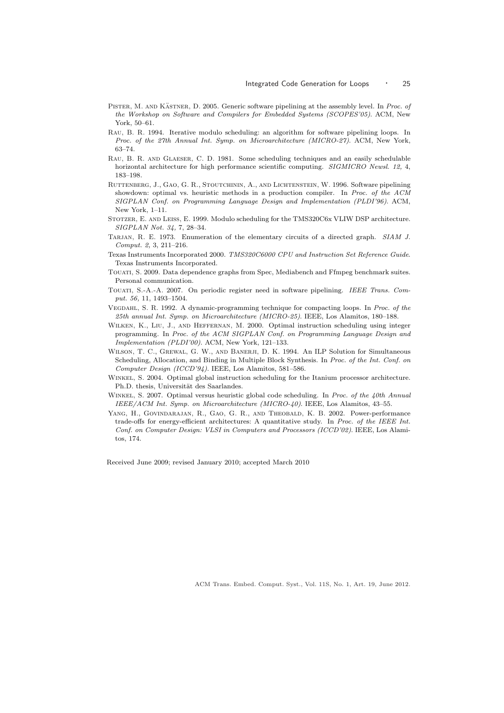- PISTER, M. AND KÄSTNER, D. 2005. Generic software pipelining at the assembly level. In Proc. of the Workshop on Software and Compilers for Embedded Systems (SCOPES'05). ACM, New York, 50–61.
- Rau, B. R. 1994. Iterative modulo scheduling: an algorithm for software pipelining loops. In Proc. of the 27th Annual Int. Symp. on Microarchitecture (MICRO-27). ACM, New York, 63–74.
- Rau, B. R. and Glaeser, C. D. 1981. Some scheduling techniques and an easily schedulable horizontal architecture for high performance scientific computing. SIGMICRO Newsl. 12, 4, 183–198.
- Ruttenberg, J., Gao, G. R., Stoutchinin, A., and Lichtenstein, W. 1996. Software pipelining showdown: optimal vs. heuristic methods in a production compiler. In Proc. of the ACM SIGPLAN Conf. on Programming Language Design and Implementation (PLDI'96). ACM, New York, 1–11.
- Stotzer, E. and Leiss, E. 1999. Modulo scheduling for the TMS320C6x VLIW DSP architecture. SIGPLAN Not. 34, 7, 28–34.
- TARJAN, R. E. 1973. Enumeration of the elementary circuits of a directed graph. SIAM J. Comput. 2, 3, 211–216.
- Texas Instruments Incorporated 2000. TMS320C6000 CPU and Instruction Set Reference Guide. Texas Instruments Incorporated.
- Touati, S. 2009. Data dependence graphs from Spec, Mediabench and Ffmpeg benchmark suites. Personal communication.
- Touati, S.-A.-A. 2007. On periodic register need in software pipelining. IEEE Trans. Comput. 56, 11, 1493–1504.
- Vegdahl, S. R. 1992. A dynamic-programming technique for compacting loops. In Proc. of the 25th annual Int. Symp. on Microarchitecture (MICRO-25). IEEE, Los Alamitos, 180–188.
- Wilken, K., Liu, J., and Heffernan, M. 2000. Optimal instruction scheduling using integer programming. In Proc. of the ACM SIGPLAN Conf. on Programming Language Design and Implementation (PLDI'00). ACM, New York, 121–133.
- WILSON, T. C., GREWAL, G. W., AND BANERJI, D. K. 1994. An ILP Solution for Simultaneous Scheduling, Allocation, and Binding in Multiple Block Synthesis. In Proc. of the Int. Conf. on Computer Design (ICCD'94). IEEE, Los Alamitos, 581–586.
- Winkel, S. 2004. Optimal global instruction scheduling for the Itanium processor architecture. Ph.D. thesis, Universität des Saarlandes.
- WINKEL, S. 2007. Optimal versus heuristic global code scheduling. In Proc. of the 40th Annual IEEE/ACM Int. Symp. on Microarchitecture (MICRO-40). IEEE, Los Alamitos, 43–55.
- YANG, H., GOVINDARAJAN, R., GAO, G. R., AND THEOBALD, K. B. 2002. Power-performance trade-offs for energy-efficient architectures: A quantitative study. In  $\emph{Proc. of the IEEE Int.}$ Conf. on Computer Design: VLSI in Computers and Processors (ICCD'02). IEEE, Los Alamitos, 174.

Received June 2009; revised January 2010; accepted March 2010